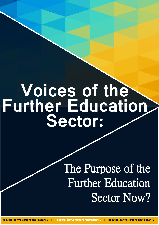## **Voices of the** Further Education **Sector:**

## The Purpose of the **Further Education Sector Now?**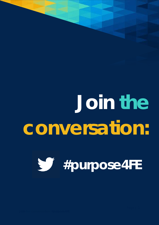# **Join the conversation:**

## **#purpose4FE**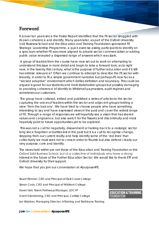#### <span id="page-2-0"></span>Foreword

It is over ten years since the Foster Report identified that the FE sector struggled with its own coherence and identify. Many years later, as part of the Oxford University Saϊd Business School and the Education and Training Foundation sponsored FE Strategic Leadership Programme, a quick exercise asking participants to identify on a spectrum whether FE was more aligned to private sector commercialism or adding public value revealed a dispersed range of answers which was stark.

A group of leaders from the course have now set out to work on attempting to understand this issue in more detail and begin to take a forward look, as to right now, in the twenty first century, what is the purpose of further education and if it still has intrinsic relevance? Often we continue to attempt to describe the FE sector with linearity, in order to fit a simple government narrative but perhaps FE now faces a "wicked adaptive" environment which defies definition and boundary. This could be argued is good for our students and most stakeholder groups but possibly damaging to providing coherence of identify to Whitehall paymasters, audit regimes and sometimes our customers.

The group have collated, edited and published a series of articles to the sector capturing the voices of leaders within the sector and adjacent groups holding a view 'from the balcony'. We have tried to choose people who have something interesting to say and have expressed views in the past and cover the widest range of FE. Through a range of responses we will hopefully see a vision that has shared values and congruence, but also watch for the fissures and discontinuity and most hopefully point to future opportunities yet to be explored.

This was not a call for negativity, disownment or harking back to a nostalgic sector long since forgotten or battles lost in the past but it is a call to recognise change, stepping from our current reality and help identify some of the 'red lines' that collectively we must seek not to cross in order to flourish but also defend clearly our very purpose, core and identify.

The views held within are not those of the Education and Training Foundation or the Oxford Saϊd Business School, but of a collective of individuals who have a strong interest in the future of the Further Education Sector. We would like to thank ETF and Oxford University for their support.

We hope that you join our conversation at #purpose4FE.

*Stuart Rimmer, CEO and Principal of East Coast College Simon Cook, CEO and Principal of MidKent College Dawn Hall, Talent Pathways Manager, LOCYP Grant Glendinning, CEO and Principal, Carlisle College Ian Webber, Managing Director, InTraining and Rathbone Training*

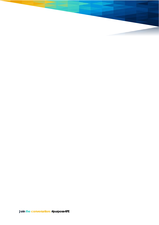**Join the conversation: #purpose4FE**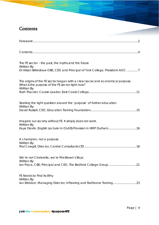#### <span id="page-4-0"></span>**Contents**

| The FE sector - the past, the myths and the future<br>Written By:<br>Dr Alison Birkinshaw OBE, CEO and Principal of York College, President AOC. 7 |
|----------------------------------------------------------------------------------------------------------------------------------------------------|
| The origins of the FE sector began with a clear social and economical purpose.<br>What is the purpose of the FE sector right now?<br>Written By:   |
|                                                                                                                                                    |
| Seeking the right question around the 'purpose' of further education<br>Written By:                                                                |
| Imagine our society without FE. It simply does not work.<br>Written By:<br>Kaye Devlin, English Lecturer in OLASS Provision in HMP Durham16        |
| A champion, not a purpose<br>Written By:                                                                                                           |
| We're not Cinderella, we're Mrs Brown's Boys<br>Written By:<br>lan Pryce, CBE, Principal and CEO, The Bedford College Group 21                     |
| FE Needs to Find Its Why<br>Written By:                                                                                                            |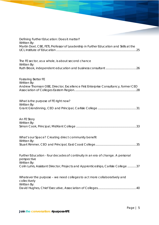| Defining Further Education: Does it matter?<br>Written By:                                             |
|--------------------------------------------------------------------------------------------------------|
| Martin Doel, CBE, FETL Professor of Leadership in Further Education and Skills at the                  |
|                                                                                                        |
| The FE sector, as a whole, is about second chance<br>Written By:                                       |
|                                                                                                        |
| <b>Fostering Better FE</b>                                                                             |
| Written By:<br>Andrew Thomson OBE, Director, Excellence First Enterprise Consultancy, former CEO       |
|                                                                                                        |
| What is the purpose of FE right now?                                                                   |
| Written By:                                                                                            |
| An FE Story                                                                                            |
| Written By:                                                                                            |
|                                                                                                        |
| What's our Space? Creating direct community benefit<br>Written By:                                     |
|                                                                                                        |
| Further Education - four decades of continuity in an era of change. A personal                         |
| perspective<br>Written By:                                                                             |
| Colin Luhrs, Assistant Director, Projects and Apprenticeships, Carlisle College 37                     |
|                                                                                                        |
|                                                                                                        |
| Whatever the purpose - we need colleges to act more collaboratively and<br>collectively<br>Written By: |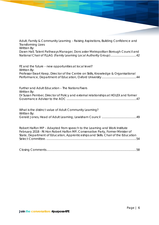| <b>Transforming Lives</b>                                                                                                                                                                                                                          |
|----------------------------------------------------------------------------------------------------------------------------------------------------------------------------------------------------------------------------------------------------|
| Written By:<br>Dawn Hall, Talent Pathways Manager, Doncaster Metropolitan Borough Council and<br>National Chair of FLLAG (Family Learning Local Authority Group)42                                                                                 |
| FE and the future - new opportunities at local level?<br>Written By:<br>Professor Ewart Keep, Director of the Centre on Skills, Knowledge & Organisational                                                                                         |
| Further and Adult Education - The Nations Fixers<br>Written By:<br>Dr Susan Pember, Director of Policy and external relationships at HOLEX and former                                                                                              |
| What is the distinct value of Adult Community Learning?<br>Written By:                                                                                                                                                                             |
| Robert Halfon MP - Adapted from speech to the Learning and Work Institute<br>February 2018 - Rt Hon Robert Halfon MP, Conservative Party, Former Minister of<br>State, Department of Education, Apprenticeships and Skills. Chair of the Education |
|                                                                                                                                                                                                                                                    |

Adult, Family & Community Learning – [Raising Aspirations, Building Confidence and](#page-42-0)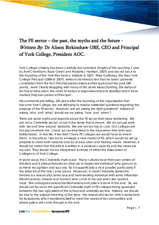#### <span id="page-7-0"></span>The FE sector – the past, the myths and the future - Written By: Dr Alison Birkinshaw OBE, CEO and Principal of York College, President AOC.

York College's history has been carefully documented (*Angles of the Learning Curve* by Avril Cheetham, Kaye Green and Marjorie J Harrison, 2007) and traced back to the founding of the York Mechanics' Institute in 1827. Mike Galloway, the then York College Principal (1999 to 2007), writes in his introduction that he takes 'perverse consolation from the fact this [his] predecessors as Principals [over the past 180 years]…were clearly struggling with many of the same issues (funding, the status of technical education, the need to balance responsiveness and stability) which have marked [his] own period as Principal'.

His comments are telling; 191 years after the founding of the organisation that became York College, we are still trying to resolve existential questions regarding the purpose of the FE sector. However, are we asking the right questions? Instead of asking 'why' and 'what' should we be asking 'how' and 'when'?

There are some myths and legends about the FE sector that need shattering. We are not a Cinderella sector, or not in the sense that is meant. We do not just work with 'second time around' students. We are not too big to care. Our colleges are not places where the 'chavs' go (as described in the days when that term was fashionable). In real life, if we didn't have FE colleges we would have to invent them. In this article, I set out to envisage a new model of FE, which would be set up properly to meet both national and local education and training needs. However, it should be noted that this article is written in a personal capacity and the views are my own. They should not be interpreted as those of either the Association of Colleges or of York College.

In some ways, the Cinderella myth is apt. Many cultures have their own version of this story and it always features an obscure or neglected individual who goes on to achieve recognition and success. So it is superficially a nice parallel, particularly if the latter bit of the tale came about. Moreover, in most Cinderella stories the heroine is a resourceful, tenacious and hard-working individual with some influential friends (animal, mineral and human) who come to her aid when she needs it most. She undergoes various transformations and justice is done in the end. So, we should not focus on the superficial Cinderella myth of FE colleges being squeezed between the two ugly sisters of the school and university sectors. Instead, we should be true to the original meaning of the story - the resourceful sector, which works hard for its students, which transforms itself to meet the needs of its communities, and where justice will come through in the end.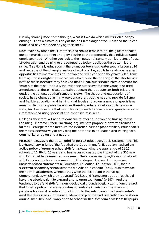But why should justice come through, what is it we do which merits such a happy ending? Didn't we have our day at the ball in the days of the 1970s and the 'silver book' and have we been paying for it since?

More than any other, the FE sector is, and should remain to be, the glue that holds our communities together and provides the paths to prosperity that individuals and employers need. Whether you look to the nineteenth century configurations of post-16 education and training or that offered by today's colleges the pattern is the same. Traditionally education in the UK moves towards greater specialisation at 16 and because of the changing nature of work and life, adults have always needed opportunities to improve their education and skill levels once they have left full-time learning. Those enlightened individuals who funded the opening of the Mechanics' Institute did so because they believed that all individuals should have access to the 'march of the mind' (actually the evidence also shows that the young also used attendance at these Institutes to gain access to the opposite sex both inside and outside the venues, but that's another story). The shape and expectations of society have changed in many ways since then, but the need to provide full time and flexible education and training at all levels and across a range of specialisms remains. Technology may be now as liberating educationally as colleges once were, but it remains true that much learning needs to take place in groups via social interaction and using specialist and expensive resources.

Colleges, therefore, will need to continue to offer education and training that is liberating. Moreover, there is a strong argument to propose a new transformation for the FE college sector, because the evidence is clear: proper tertiary education is the most successful way of providing the best post-16 education and training for a community, a region and a nation.

Research exists as to the best model for post-16 education, but it is fragmented. This is extraordinary in light of the fact that the Department for Education has had an active policy of opening school sixth forms (extending the age range of 11-16 schools to 11-18) for 15 years and has never evaluated the impact of the 300 new sixth forms that have emerged as a result. There are as many myths around about sixth forms in schools as there are about FE colleges. Andrew Adonis makes unsubstantiated statements in (*Education, Education, Education (*2012) that 'a successful secondary school almost always has a sixth form' (p49), 'sixth forms are the norm in academies, whereas they were the exception in the failing comprehensives which they replaced' (p131), and 'converter academies should have the absolute right to expand and to open sixth forms' (p 197). And the tendency to defend sixth forms on ideological grounds possibly stems from the fact that for elite policy makers, secondary schools are invariably in the shadow of private schools and private schools look up to the institutions in the Headmaster's (and Headmistresses) Conference. Membership of this exclusive institution has been around since 1869 and is only open to schools with a sixth form of at least 100 pupils.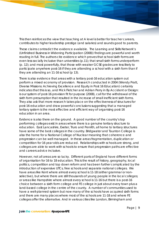This then reinforces the view that teaching at A level is better for teacher careers, contributes to higher leadership prestige (and salaries) and sounds good to parents.

These claims contradict the evidence available. The Learning and Skills Network's (*Unfinished Business in Widening Participation* (2008)) findings are powerful and worth reading in full. The authors cite evidence which proves that school sixth forms are even less socially inclusive than universities (p.11); that small sixth forms underperform (p. 12); and most powerfully, that those with weaker GCSE grades are less likely to participate anywhere post-16 if they are attending a school with a sixth form than if they are attending an 11-16 school (p 13).

There is also evidence that areas with a tertiary post-16 education system out perform a mixed economy of provision. Research conducted in 2004 (Wendy Pratt, *Diverse Missions: Achieving Excellence and Equity in Post 16 Education*) certainly indicates that this is so, and Mick Fletcher and Adrian Perry in *By Accident or Design: is our system of post-16 provision fit for purpose* (2008), call for the withdrawal of the sixth form presumption that resulted in the increase of small inefficient sixth forms. They also ask that more research takes place on the effectiveness of structures for post-16 education and draw powerful conclusions suggesting that a managed tertiary system is the most effective and efficient way of organising post-16 education in an area.

Evidence is also there on the ground. A good number of the country's top performing colleges exist in areas where there is a genuine tertiary structure to education. East Lancashire, Exeter, Truro and Penrith, all home to tertiary structures have some of the best colleges in the country. Bridgwater and Taunton College is also the home for a National College of Nuclear meaning that coherence and progression can be well managed. In these areas fragmentation, duplication or competition for 16 year olds are reduced. Relationships with schools are strong, and colleges are able to work with schools to ensure that progression paths are effective and careers advice inclusive.

However, not all areas are so lucky. Different parts of England have different forms of organisation for 16 to 18 education. This is the result of history, geography, local politics, competition and top down reform and has been further complicated by the introduction of expensive UTCs, free schools and separate national colleges. We have areas like Kent where almost every school is 11-18 (either grammar or nonselective), but where there are still thousands of young people in the local colleges; or areas like Hampshire where almost every school is 11-16 but there is a post-16 choice between a sixth form college and FE college in just about every town plus a land-based college in the centre of the county. A number of communities used to have a well-planned system but now many of the schools have acquired sixth forms and there are many places where most of the schools are 11-18 and where FE colleges offer the alternative. And in various cities like London, Birmingham and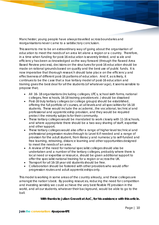Manchester, young people have always travelled across boundaries and reorganisations never came to a satisfactory conclusion.

This seems to me to be an extraordinary way of going about the organisation of education to meet the needs of an area let alone a region or a country. Therefore, in a time when funding for post-16 education is severely limited, and scale and efficiency has been acknowledged as the way forward (through the flawed Area Based Review process), decisions on the structures for post-16 education should be made on rational grounds based on quality and the best use of public funds. It is now imperative that thorough research should take place on the efficiency and effectiveness of different post-16 patterns of education. And if, as is likely, it continues to be the case that a true tertiary model of post-16 education and training gives the best deal for all the students (of whatever age), it seems sensible to propose that;

- All 16-18 organisations (including colleges, UTCs, school sixth forms, national colleges, free schools, 16-18 training providers etc.) should be dissolved
- Post-16 truly tertiary colleges (or college groups) should be established, offering the full portfolio of courses, at all levels and all specialities for 16-18 students. These would include the academic, the vocational, technical and professional and apprenticeship provision, and they would be required protect the minority subjects for their community.
- These tertiary colleges would be mandated to work closely with 11-16 schools, and where appropriate there should be a two-way sharing of staff, expertise and other support.
- These tertiary colleges would also offer a range of higher level technical and professional progression routes through to Level 6 if needed and a range of provision for the adult student, from literacy and numeracy to self-funded and free learning, retraining, distance learning and other opportunities designed to meet the needs of an area.
- A review of the need for national specialist colleges should also be undertaken and a number of the tertiary colleges, probably where there is local need or expertise or resource, should be given additional support to offer the specialist national training for a region or across the UK.
- Transport for all 16-18 year old students should be free.
- Collaboration should be fostered with other providers who would offer progression routes and adult apprenticeships only.

This model is working in some areas of the country already, and these colleges are amongst the nation's best. By pooling resources, reducing the need for competition and investing sensibly we could achieve the very best flexible FE provision in the world, and all our students, whatever their background, would be able to go to the ball.

#### **With thanks to Julian Gravatt at AoC, for his assistance with this article.**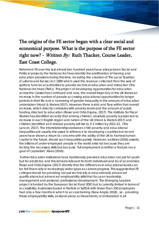## <span id="page-11-0"></span>The origins of the FE sector began with a clear social and economical purpose. What is the purpose of the FE sector right now? - Written By: Ruth Thacker, Course Leader, East Coast College.

Reforms in FE over the last almost two hundred years have always been Social and Political projects; the National Archives identify the proliferation of training and education provisions during this time, including the creation of The Local Taxation (Customs and Excise) Act 1890 which used the revenue collected from the sale of spirits to fund local authorities to provide technical education and instruction (The National Archives (TNA)). This project of developing opportunities for education across the classes has continued and now, the overall trajectory in the UK shows an increase in the number of people accessing educational opportunities for longer periods in their life and a narrowing of gender inequality in the amount of education undertaken (Hood & Waters 2017). However there is ebb and flow within that overall increase, which directly correlates with poverty levels and the amount of public funding directed to education (Roser and Ortiz-Ospina, 2017). The Institute for Fiscal Studies has identified recently that among children, absolute poverty is projected to increase in each English region and nation of the UK (Hood & Waters 2017) and children identified as in relative poverty will rise to 5·1 million by 2021-22, (The Lancet, 2017). The interrelationships between child poverty and educational inequalities are usually discussed in reference to developing countries but recent years have shown a return to concerns with the ability of the UK to harness human capital in the future, should such inequalities persist. However, as Klees (2016) asserts, the billions of under-employed people in the world exist not because they are lacking the necessary skills but because 'full employment is neither a feature nor a goal of capitalism' Klees (2016).

Further Education institutions have traditionally provided education not just for youth but for adults too and this remains relevant for both individuals and local economies; Roser and Ortiz-Ospina (2017) identify that the differences in educational levels can be felt financially in increasingly wider gaps as careers progress. This suggests that FE colleges should be providing not just technically & educationally advanced qualifications but advanced employability skills that focus on leadership, management and personal, professional development. The Emerging Leaders project is funded by the European Social Fund (ESF) but is currently limited in terms of accessibility; businesses based in Norfolk or Suffolk with fewer than 250 employees had only a few months in which to access training (New Anglia 2018) , so - providing these employability skills, as stand-alone achievements, or embedded in all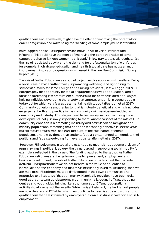qualifications and at all levels, might have the effect of improving the potential for career progression and advancing the standing of some employment sectors that

have lagged behind - as repositories for individuals with vision, intellect and influence. This could have the effect of improving the perceived value of some careers that has so far kept women (particularly) in low pay sectors, although, so far, the rise of regulated activity and the demand for professionalization of workforces, for example, in childcare, education and health & social care has not seen much improvement in pay or progression as witnessed in the Low Pay Commission Spring Report (2016).

The role of Further Education as a social project involves concern with welfare. Being a social care provider rather than just promoting wellbeing and signposting to services is a reality for some colleges and training providers (Herd & Legge 2017). FE colleges provide opportunity for social engagement as well as education, and a focus on facilitating low pressure encounters could be better explored as a way of helping individuals overcome the anxiety that appears endemic in young people today but for which very few access mental health support (Reardon et al, 2017). Community cohesion is another factor that is mutually beneficial and which includes engagement with and practice in the community - with services embedded in community and industry. FE colleges need to be heavily involved in driving these developments, not just slowly responding to them. Another aspect of the role of FE in community cohesion is in promoting inclusivity and assimilation of immigrant and minority populations, something that has been reasonably effective in recent years but still requires much work not least because of the fluid nature of ethnic populations and the evidence that students face a constant need to negotiate their positions and face stereotyping from every quarter (Bennett et al 2017).

However, FE involvement in social projects has also meant it has become a victim of regular swings in political ideology; the value placed in supporting social mobility for example is reflected in the value of the funding applied to the sector. As Further Education institutions are the gateway to self-improvement, employment and business development, the role of Further Education providers must then include activism – if as practitioners we do not believe in the value of education to individuals and the economy and that this is inextricably linked to wellbeing, then we are mediocre. FE colleges must be firmly rooted in their own communities and responsive to all sectors of that community. Historically providers have been quite good at that – setting up classrooms in community halls, council offices, shopping centres and youth clubs, bringing literacy, numeracy, ICT and occupational activities to all corners of the locality. While this is still relevant, the fact is most people are now literate and ICT able, what they continue to need is access to work and to qualifications that are informed by employers but can also drive innovation and selfemployment.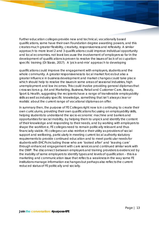Further education colleges provide new and technical, vocationally based qualifications, some have their own Foundation degree awarding powers, and this creates much greater flexibility, creativity, responsiveness and reflexivity. A similar approach to more level 2 and 3 qualifications could improve individual opportunity and local economies, not least because the involvement of employers so far in the development of qualifications is proven to resolve the issues of lack of occupationspecific training (Di Stasio, 2017). A 'pick-and-mix' approach to developing

qualifications could improve the engagement with employers, students and the whole community. A greater responsiveness to local market forces but also a greater influence in business development and market changes could take place which should help to resolve the issues in some areas of seasonal industries, high unemployment and low incomes. This could involve providing general diplomas that cross sectors e.g. Art and Marketing, Business, Retail and Customer Care, Beauty, Sport & Health, suggesting the recipients have a range of transferable employability skills as well as industry specific knowledge, something that isn't always clear or realistic about the current range of vocational diplomas on offer.

In summary then, the purpose of FE Colleges right now is in continuing to create their own curriculums, providing their own qualifications focussing on employability skills, helping students to understand the socio-economic machine and barriers and opportunities for social mobility, by helping them to unpick and identify the content of their knowledge and responding to their needs, and by working with employers to shape the workforce, FE colleges need to remain politically relevant and thus financially viable. FE colleges can also reinforce their utility as providers of social support and wellbeing, particularly in meeting current local authority statutory requirements to provide continued education and to meet particular needs for students with EHCPs including those who are 'looked after' and 'leaving care' through enhanced engagement with care services and continued similar work with the DWP. The disconnect between employers and training providers is evidenced by the inability of some employers to identify types and levels of qualification – this is a marketing and communication issue that reflects a weakness in the way some FE institutions manage information exchanges but perhaps also reflects the current reduced status of FE politically and socially.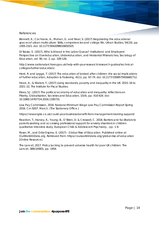#### References:

Bennett, K., Cochrane, A., Mohan, G. and Neal, S. (2017) Negotiating the educational spaces of urban multiculture: Skills, competencies and college life, Urban Studies, 54(10), pp. 2305-2321. doi: 10.1177/0042098016650325.

Di Stasio, V. (2017), Who Is Ahead in the Labor Queue? Institutions' and Employers' Perspective on Overeducation, Undereducation, and Horizontal Mismatches, Sociology of Education, vol. 90, no. 2, pp. 109-126.

http://www.nationalarchives.gov.uk/help-with-your-research/research-guides/technicalcolleges-further-education/

Herd, R. and Legge, T. (2017) The education of looked after children: the social implications of further education, Adoption & Fostering, 41(1), pp. 67-74. doi: 10.1177/0308575916681712.

Hood, A., & Waters, T., (2017) Living standards, poverty and inequality in the UK: 2015–16 to 2021–22, The Institute for Fiscal Studies.

Klees, S.J. (2017) The political economy of education and inequality: reflections on Piketty, Globalisation, Societies and Education, 15(4), pp. 410-424. doi: 10.1080/14767724.2016.1195731.

Low Pay Commission, 2016. National Minimum Wage Low Pay Commission Report Spring 2016. Cm 9207. March. (The Stationery Office.)

https://newanglia.co.uk/could-your-business-benefit-from-management-training-support/

Reardon, T., Harvey, K., Young, B., O'Brien, D. & Creswell, C. 2018, Barriers and facilitators to parents seeking and accessing professional support for anxiety disorders in children: qualitative interview study, European Child & Adolescent Psychiatry, , pp. 1-9.

Roser, M., and Ortiz-Ospina, E. (2017) - Global Rise of Education. Published online at OurWorldInData.org. Retrieved from: https://ourworldindata.org/global-rise-of-education [Online Resource].

The Lancet, 2017. Policy lacking to prevent adverse health for poor UK children. The Lancet, 389(10083), pp. 1954.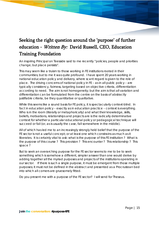## <span id="page-15-0"></span>Seeking the right question around the 'purpose' of further education - Written By: David Russell, CEO, Education Training Foundation

An inspiring Principal on Teesside said to me recently "policies, people and priorities change; but place persists".

This may seem like a truism to those working in FE institutions rooted in their communities; but to me it was quite profound. I have spent 20 years working in national education policy and delivery, where scant regard is given to the role of place. The driving concerns of national policy in FE – as in all public policy – are typically consistency, fairness, targeting based on objective criteria, differentiation according to need. The aim is not homogeneity; but the aim is that all variation and differentiation can be formulated from the centre on the basis of abstractly justifiable criteria, be they quantitative or qualitative.

While this seems like a sound basis for FE policy, it is spectacularly context-blind. In fact in education policy – exactly as in education practice – context is everything. Who is in the room (literally or metaphorically) and what their knowledge, skills, beliefs, motivations, relationships and projects are is the radically determinative context for whether a particular educational policy or pedagogical technique will succeed or fail (or, as is usually the case, fall somewhere in the middle).

All of which has led me to an increasingly strongly held belief that the purpose of the FE sector is not a useful concept; or at least one which constrains as much as it liberates. It is certainly vital to ask: what is the purpose of this FE *institution* ? What is the purpose of this *course* ? This *provision* ? This *encounter* ? This *relationship* ? This *space* ?

But to seek an overarching purpose for the FE sector seems to me to be to seek something which is somehow a different, simpler answer than one would derive by adding together all the myriad purposes and projects of the institutions operating in our sector. If there is such a single purpose, it must be emergent from those multiple purposes; it must not be defined in the abstract and presented as a Procrustean bed into which all comers are gruesomely fitted.

Do you present me with a purpose of the FE sector? I will send for Theseus.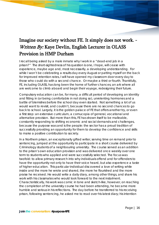#### <span id="page-16-0"></span>Imagine our society without FE. It simply does not work. - Written By: Kaye Devlin, English Lecturer in OLASS Provision in HMP Durham

I recall being asked by a male inmate why I work in a "dead-end job in a prison?" The short-sightedness of his question is one, I hope, will cease with experience, maybe age and, most necessarily, a developing understanding. For while I won't be celebrating a results day every August or patting myself on the back for improved retention rates, I will have opened my classroom door every day to those who could do with a second chance. Or maybe a third or fourth. Thankfully, FE, including OLASS, has long been the home of further chances; an ark where all are welcome to climb aboard and begin their voyage, redesigning their future.

Compulsory education can be, for many, a difficult period of developing an identity and fitting in (or being comfortable in not doing so), unrelenting hormones and a battle of blemishes before the school day even started. Not something a lot of us would want to revisit, and couldn't, because there are no second chances to go back to school. Largely, it is the golden palace of FE that offers another try, or even a first step: an extensive curriculum, a cornucopia of general, vocational and alternative provision. But more than this, FE has shown itself to be malleable, constantly responding to shifting economic and social demands and challenges, because the purpose was and is the people: the sector has a proud tradition of successfully providing an opportunity for them to develop the confidence and skills to make a positive contribution to society.

In a Northern prison, an exceptionally gifted writer, serving time on remand prior to sentencing, jumped at the opportunity to participate in a short course delivered by Criminology students of a neighbouring university. The course served as an addition to the prison's own education provision and was delivered once weekly over one term to students who applied and were successfully selected. The focus was twofold: to allow primary research into why individuals offend and for offenders to have the opportunity not only to have their voice heard, but also experience a taste of higher education. This particular individual discovered a love of writing while inside and the more he wrote and shared, the more he flourished and the more praise he received. He would write a daily diary, among other things, and share his work with his classmates who would look forward to the next instalment. Characteristically, his work was comic in tone and sketch-like, however, on reaching the completion of the university course he had been attending, he became more humble and serious in his reflections. The day before he transferred to his receiving prison, following sentencing, he asked me to read over his latest diary; his intention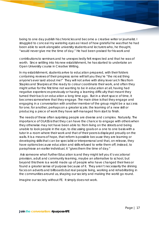being to one day publish his chronicles and become a creative writer or journalist. I struggled to conceal my watering eyes as I read of how grateful he was that he had been able to work alongside university students and lecturers who, he thought, "would never give me the time of day." He had been praised for his work and

contributions to seminars and he unexpectedly felt respected and that he was of worth. Since settling into his new establishment, he has started to undertake an Open University course in Creative Writing.

In my establishment, students arrive to education prepared, with their folders containing reviews of their progress: some will tell you they're "the nicest thing anyone's ever said about me!" They will not arrive with shiny lever arch files from Staples and Sharpies at the ready to colour coordinate their work, and often they might arrive for the first time not wanting to be in education at all, having had negative experiences previously or having a learning difficulty that meant they turned their back on education a long time ago. But in a short space of time, it becomes somewhere that they engage. The main drive is that they engage and engaging in a conversation with another member of the group might be a success for one; for another, perhaps on a greater scale; the learning of a new skill or producing a piece of work they have self-managed from start to finish.

The needs of these often surprising people are diverse and complex. Naturally. The importance of OLASS is that they can have the chance to engage with others when they otherwise may not have been able to: from living on the streets and being unable to look people in the eye, to discussing goals on a one to one basis with a tutor in a room where their work and that of their peers is displayed proudly on the walls. It is a means of hope, that reform is possible because they are learning or developing skills that can be specialist or interpersonal and that, on release, they have options because education and skills refused to write them off; instead, to paraphrase an earlier individual, it "gives them the time of day."

Ask someone what Further Education is and they might tell you it's vocational provision, adult and community learning, maybe an alternative to school, but beyond this there is a world made up of people who have changed their lives or found a greater sense of purpose because of it. They aren't necessarily the shining faces on adverts and billboards but real people living, working and rehabilitating in the communities around us, shaping our society and making the world go round.

Imagine our society without FE. It simply does not work.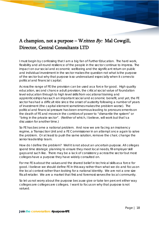#### <span id="page-18-0"></span>A champion, not a purpose – Written By: Mal Cowgill, Director, Central Consultants LTD

I must begin by confessing that I am a big fan of Further Education. The hard work, flexibility and all round resilience of the people in the sector continue to impress. The impact on our social and economic wellbeing and the significant return on public and individual investment in the sector makes the question not what is the purpose of the sector but why that purpose is so undervalued especially when it comes to political and financial capital.

Across the range of FE the provision can be used as a force for good. High quality education, second chance adult provision, the critical social value of foundation level education through to high level skills from vocational training and apprenticeships has such an important social and economic benefit, and yet, the FE sector has had a difficult ride since the onset of austerity following a number of years of investment (the capital element sometimes makes the problem worse). The political and financial pressure has been enormous leading to pronouncements on the death of FE and moves in the corridors of power to "dismantle the system" or "bring in the private sector". (Neither of which, I believe, will work but that's a discussion for another time.)

So FE has become a national problem. And now we are facing an insolvency regime, a Transaction Unit and a FE Commissioner in an attempt once again to solve the problem. Or at least to push the same solution, remove the chair, change the senior leadership team.

How do I define the problem? Well it is not about an uncertain purpose. All colleges spend time strategic planning to ensure they meet local needs, fill employer skill gaps and such like. There may be a lack of consistency across the sector but most colleges have a purpose they have widely consulted on.

For me FE is about the values and the shared belief in technical skills as a force for good. I believe we should define FE in this way rather than what we do and focus on the local context rather than looking for a national identity. We are not a one size fits all retailer. We are a market that first and foremost serves the local community.

So let us not worry about the purpose because give or take ten percent either way colleges are colleges are colleges. I want to focus on why that purpose is not valued.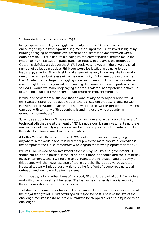So, how do I define the problem? \$\$\$\$.

In my experience colleges struggle financially because 1) they have been encouraged by a previous political regime that urged the LSC to invest in big shiny buildings bringing horrendous levels of debt and interest payments which when coupled with, 2) 30% plus cuts in funding by the current political regime make the mission to maximise student participation at odds with the available resources. Outcome deficits. Was it ever thus? Well yes it was, however, if there were a small number of colleges in trouble I think you would be justified in pointing to poor leadership, a lack of financial skills and a level of naivety in running what is usually one of the biggest businesses within the community. But where do you draw the line? At what percentage of struggling colleges do we admit that this is a systemic issue brought about by years of poor funding decisions? Or more importantly if we valued FE would we really keep saying that this is isolated incompetence or face up to a national funding crisis? Enter the upcoming FE insolvency regime.

Is it me or does it seem a little odd that anyone of any political persuasion would think what this country needs is an open and transparent process for dealing with insolvent colleges rather than promoting a well-funded, well respected sector which can deal with so many of this country's ills and make the whole country an economic powerhouse?

So, why as a country don't we value education more and in particular, the level of technical skills that are at the heart of FE? It is not a cost it is an investment and there are methods of quantifying the social and economic pay back from education for the individual, business and society as a whole.

A better Malcolm than me once said: "Without education, you're not going anywhere in this world." And followed that up with the more precise, "Education is the passport to the future, for tomorrow belongs to those who prepare for it today."

I'd like FE be viewed as an investment especially by industry and government. It should not be about politics. It should be about good economic and social thinking. Invest in tomorrow and it will belong to us. Harness the innovation and creativity of this country with the huge resource of technical skills. The added value across all industrial sectors will place our tiny island at the forefront of economic and social cohesion and we truly will be for the many.

As with roads, rail and other forms of transport, FE should be part of our infrastructure and with priority investment because FE is the journey that ends in social mobility through our individual economic success.

That does not mean the sector should not change. Indeed in my experience one of the major strengths of FE is its flexibility and responsiveness. I believe the size of the challenge requires lines to be broken, marks to be stepped over and prejudice to be challenged.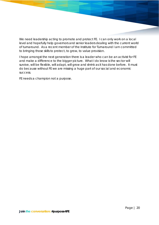We need leadership acting to promote and protect FE. I can only work on a local level and hopefully help governors and senior leaders dealing with the current world of turnaround. As a recent member of the Institute for Turnaround I am committed to bringing those skills to protect, to grow, to value provision.

I hope amongst the next generation there is a leader who can be an activist for FE and make a difference to the bigger picture. What I do know is the sector will survive, will be flexible, will adapt, will grow and shrink as it has done before. It must do because without FE we are missing a huge part of our social and economic success.

FE needs a champion not a purpose.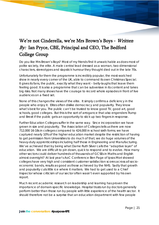## <span id="page-21-0"></span>We're not Cinderella, we're Mrs Brown's Boys - Written By: Ian Pryce, CBE, Principal and CEO, The Bedford College Group

Do you like Mrs Brown's Boys? Most of my friends find it unwatchable as does most of polite society, the elite. A male central lead dressed as a woman, two-dimensional characters, stereotypes and slapstick humour they thought died out in the late 70s.

Unfortunately for them the programme is incredibly popular, the most-watched show in nearly every corner of the UK, able to command its own Christmas Special. It gives its fans, the public, exactly what they want – belly-laughs that leave them feeling good. It is also a programme that can be subversive in its content and takes big risks. Not many shows have the courage to record whole episodes in front of live audiences on a fixed set.

None of this changes the views of the elite. It simply confirms a deficiency in the people who enjoy it. Elites often dislike democracy and popularity. They know what's best for you. The public can't be trusted to know good TV, good art, good schools, good colleges. But this is the sort of arrogance that also engenders Trump and Brexit if the public gets an opportunity to stick up two fingers in response.

Further Education Colleges suffer in the same way. Since incorporation we have grown in size and popularity. The Association of Colleges tells us there are now 712,000 16-18s in colleges compared to 424,000 in school sixth forms; we have captured nearly 10% of the higher education market despite the restriction of having to get permission from Universities to do much of that; we do huge volumes of the heavy-duty apprenticeships including half those in Engineering and Manufacturing. We've achieved that by being what Dame Ruth Silver calls the "adaptive layer" of education. We are difficult to pin down, quick to respond and to evolve. How many other sectors could deliver hundreds of thousands of GCSEs in Maths and English almost overnight? At last year's AoC Conference Ben Page of Ipsos Mori showed colleges have very high and consistent customer satisfaction scores across all socioeconomic bands, results as good as those achieved by the NHS. Sadly that growth and popularity cuts little ice where it matters. We had to get used to a Chief Inspector whose criticism of our sector often wasn't even supported by his own report.

Much recent academic research on leadership and learning has proven the importance of domain-specific knowledge. Hospital trusts run by doctors generally perform better than those run by people with little experience of the health sector. It should therefore not be a surprise that an education department with few people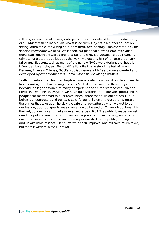with any experience of running colleges or of vocational and technical education; or a Cabinet with no individuals who studied such subjects in a further education setting, often make the wrong calls, admittedly accidentally. Employers too lack the specific knowledge we bring. While there is a place for a strong employer voice there is an irony in the CBI calling for a cull of the myriad vocational qualifications (almost none used by colleges by the way) without any hint of remorse that many failed qualifications, such as many of the narrow NVQs, were designed or heavily influenced by employers. The qualifications that have stood the test of time – Degrees, A Levels, O levels, GCSEs, applied generals, HNDs etc – were created and developed by expert educators. Domain-specific knowledge matters.

1970s comedies often featured hapless plumbers, electricians and builders; or made fun of cooking and hairdressing disasters. Such sketches are rare these days because colleges produce so many competent people the sketches wouldn't be credible. Over the last 25 years we have quietly gone about our work producing the people that matter most to our communities – those that build our houses, fix our boilers, our computers and our cars, care for our children and our parents, ensure the planes that take us on holiday are safe and look after us when we get to our destination, cook our special meals, entertain us live and on TV, enrich our lives with their art, cut our hair and make us even more beautiful! The public loves us, we just need the political aristocracy to question the poverty of their thinking, engage with our domain-specific expertise and be as open-minded as the public, treating them and us with more respect. Of course we can still improve, and still have much to do, but there is wisdom in the FE crowd.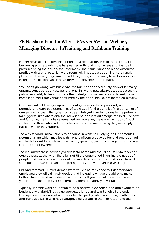#### <span id="page-23-0"></span>FE Needs to Find Its Why - *Written By*: Ian Webber, Managing Director, InTraining and Rathbone Training

Further Education is experiencing considerable change. In England at least, it is becoming progressively more fragmented with funding changes and financial pressures being the primary focus for many. The future is uncertain and difficult to predict, with scenarios which were seemingly impossible becoming increasingly plausible. However, huge amounts of time, energy and money have been invested in long term solutions which have delivered only short term impact.

'You can't go wrong with bricks and mortar,' has been a security blanket for many organisations over countless generations. Shiny and new always attracts but such a patina invariably fades and where the underlying sustenance is insufficient, those myopic gains will forever be consumed by the accounts. Do not be fooled by folly.

Only time will tell if mergers generate real synergies, release previously untapped potential or create true economies of scale … all for the benefit of the consumer of course. Has failure in the system only been delayed in order to create the potential for bigger failures where only the lawyers and bankers will emerge satisfied? For now, and for some, the lights have remained on. However, there was no crock of gold waiting and those who find themselves in this place are realising they are simply back to where they started.

The way forward is also unlikely to be found in Whitehall. Relying on fundamental system change which may be within one's influence but way beyond one's control is unlikely to lead to timely success. Energy spent tugging on ideological heartstrings is best spent elsewhere.

The real answers are inevitably far closer to home and should cause us to reflect on core purpose … the why? The origins of FE are entrenched in uniting the needs of people and employers in their local communities for economic and social benefit. Such purpose is as clear and compelling today as it was over 100 years ago.

First and foremost, FE must demonstrate value and relevance to its learners and employers; they will ultimately decide and increasingly have the ability to make better informed and more discerning decisions. If you are not intimately aware of your learner and employer requirements, then ultimately you will fail.

Typically, learners want education to be a positive experience and don't want to be burdened with debt. They value work experience and want a job at the end. Employers want workers who can contribute quickly, who have the right attitudes and behaviours and who have adaptive skills enabling them to respond to the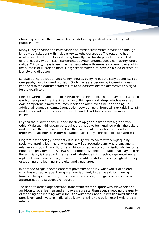changing needs of the business. And so, delivering qualifications is clearly not the purpose of FE.

Many FE organisations do have vision and mission statements, developed through lengthy consultations with multiple key stakeholder groups. The outcome has resulted in a level of ambition-lacking banality that fails to provide any point of differentiation. Swap mission statements between organisations and nobody would notice. Critically, there is very little that resonates with learners and employers. Whilst the purpose of FE is clear, most FE organisations need to develop a clearer sense of identity and direction.

Survival during periods of uncertainty requires agility. FE has typically bound itself by geography, buildings and provision. Such things are becoming increasingly less important to the consumer and failure to at least explore the alternatives is a signal for the death toll.

Lines between the adjacent markets of FE and HE are blurring as players put a toe in each other's pond. Vertical integration of this type is a strategy which leverages core competencies and resources; it helps balance risk as well as opening up additional revenue streams. Competition between neighbours will inevitably intensify and the lines of demarcation between FE and HE will become increasingly irrelevant.

Beyond the qualifications, FE needs to develop good citizens with a great work ethic. Whilst such things can be taught, they need to be ingrained within the culture and ethos of the organisations. This is the essence of the sector and therefore represent challenges of leadership rather than simply those of curriculum and HR.

Progress in technology, not least virtual reality, will mean that very high quality, socially engaging learning environments will be accessible anywhere, anytime, at relatively low cost. In addition, the ambition of technology organisations to become education providers represents a huge competitive threat to traditional players in FE. Recent history is littered with captains of industry claiming technology would never replace them. There is an urgent need to be able to deliver the very highest quality of teaching and learning in a digital and virtual age.

In absence of rigid or even coherent government policy, what works, or at least what has worked in recent living memory, is unlikely to be *the* solution moving forward. The system is open, consumers have choice, change is inevitable, new approaches and solutions are required.

The need to define organisational rather than sector purpose with relevance and ambition to local learners and employers is greater than ever. Improving the quality of teaching and learning with a focus on outcomes, not qualifications and success rates is key, and investing in digital delivery not shiny new buildings will yield greater returns.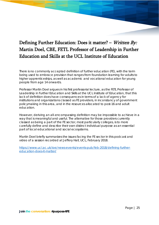## <span id="page-25-0"></span>Defining Further Education: Does it matter? – Written By: Martin Doel, CBE, FETL Professor of Leadership in Further Education and Skills at the UCL Institute of Education

There is no commonly accepted definition of further education (FE), with the term being used to embrace provision that ranges from foundation learning for adults to higher apprenticeships, as well as academic and vocational education for young people from age 14 onwards.

Professor Martin Doel argues in his first professorial lecture, as the FETL Professor of Leadership in Further Education and Skills at the UCL Institute of Education, that this lack of definition does have consequences in terms of a lack of agency for institutions and organizations classed as FE providers, in inconstancy of government policymaking in this area, and in the resources allocated to post-16 and adult education.

However, deriving an all–encompassing definition may be impossible to achieve in a way that is meaningful and useful. The alternative for those providers currently classed as being a part of the FE sector, most particularly colleges, is to more carefully define and describe their own distinct individual purpose as an essential part of local educational and social ecosystems.

Martin Doel briefly summarizes the issues facing the FE sector in this podcast and video of a session recorded at Jeffery Hall, UCL, February 2018.

https://www.ucl.ac.uk/ioe/news-events/events-pub/feb-2018/defining-furthereducation-does-it-matter/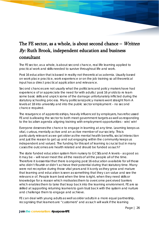#### <span id="page-26-0"></span>The FE sector, as a whole, is about second chance  $-$  *Written* By: Ruth Brook, independent education and business consultant

The FE sector, as a whole, is about second chance, real life learning applied to practical work and skills needed to survive throughout life and work.

Post 16 education that is based in reality not theoretical academia. Usually based on work place practice, work experience or on the job training so all theoretical input has a direct practical application and relevance.

Second chances are not usually what the politicians and policy makers have had experience of or appreciate the need for with adults / post 16 yr olds to re learn some basic skills and unpick some of the damage unfortunately inflicted during the statutory schooling process. Many politicians/policy makers went straight from A levels at 18 into university and into the public sector employment – no second chance required.

The resurgence of apprenticeships, heavily influenced by employers, has refocussed FE and is allowing the sector to both meet government targets as well as responding to the localism agenda aligning training with employment opportunities – win/ win!

Everyone deserves the chance to engage in learning at any time. Learning keeps us vital, curious, mentally active and an active member of our society. This is particularly relevant as we get older as the mental health benefits, social interaction and just the reason to get up and out engaging within the community keeps us independent and valued. The funding for this sort of learning is crucial but in many cases the outcomes are health related and should be funded as such?

The state funded education system from nursery to GCSEs and A levels – as good as it may be – will never meet the all the needs of all the people all of the time. Therefore it is essential that there is ongoing post 16 education available for all those who didn't flourish or didn't achieve their potential during that statutory time. Many were not receptive during those vital years and it is only as they grow and mature that learning and education is seen as something that they can value and see the relevance of. People learn best when the time is right, when they need skills or knowledge for a reason which motivates them to overcome perceived barriers which enables them to take that leap back into the learning environment. FE are so skilled at supporting returning learners to gain trust back with the system and nurture and challenge them to engage and achieve.

FE can deal with young adults as well as older adults in a more equal partnership, recognising that learners are "customers" and as such will walk if the learning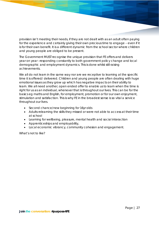provision isn't meeting their needs, if they are not dealt with as an adult often paying for the experience and certainly giving their own precious time to engage – even if it is for their own benefit. It is a different dynamic from the school sector where children and young people are obliged to be present.

The Government MUST recognise the unique provision that FE offers and delivers year on year –responding constantly to both government policy change and local demographic and employment dynamics. This is done whilst still raising achievements.

We all do not learn in the same way nor are we receptive to learning at the specific time it is offered/ delivered. Children and young people are often dealing with huge emotional issues as they grow up which has negative impacts on their ability to learn. We all need another, open ended offer to enable us to learn when the time is right for us as an individual, whenever that is throughout our lives. This can be for the basics eg maths and English, for employment, promotion or for our own enjoyment, stimulation and satisfaction. This is why FE in the broadest sense is so vital a service throughout our lives.

- Second chance/new beginning for 16yr olds
- Adults relearning the skills they missed or were not able to access at their time at school
- Learning for wellbeing, pleasure, mental health and social interaction
- Apprenticeships and employability,
- Local economic vibrancy, community cohesion and engagement.

What's not to like?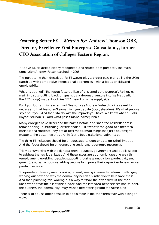## <span id="page-28-0"></span>Fostering Better FE - Written By: Andrew Thomson OBE, Director, Excellence First Enterprise Consultancy, former CEO Association of Colleges Eastern Region.

"Above all, FE lacks a clearly recognised and shared core purpose". The main conclusion Andrew Foster reached in 2005.

The purpose he then described for FE was to play a bigger part in enabling the UK to catch up with competitive international economies – with a focus on skills and employability.

What happened? The report fostered little of a 'shared core purpose'. Rather, its main impacts (cutting back on quangos, a doomed venture into 'self-regulation', the 157 group) made it look like "FE" meant only the supply side.

But if you look at things in terms of 'brand' – as Andrew Foster did - it's as well to understand that brand isn't something you decide (logo, strapline). It's what people say about you. And that is to do with the impacts you have: we know what a 'Rolls Royce' solution is….and what (insert brand name) it isn't.

Many colleges have described their aims, before and since the Foster Report, in terms of being 'outstanding' or 'first-choice'. But what is the good of either for a business or a student? They are at best measures of things that just about might matter to the customer; they are, in fact, about institutional advantage.

The thing FE institutions should be encouraged to concentrate on is their impact. And the focus should be on generating social and economic prosperity.

This means working with the right partners - business, government and public sector to address the key local issues. And these issues are economic: creating wealth (employment; up-skilling people, supporting business innovation, productivity and growth); and saving costs enabling people to improve their capacities to lead more productive lives).

To operate in this way means looking ahead, seeing intermediate-term challenges, working out how and why the community needs an institution to help face these. And then providing this, working out a way to tread the often difficult line that understands that the client (the funder) and the intended beneficiaries (the student, the business, the community) may want different things from the same fund.

There is, of course other pressure to act in more in the short term than with a longer view.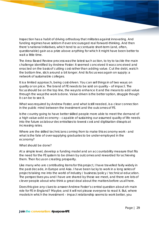Inspection has a habit of driving orthodoxy that militates against innovating. And funding regimes have seldom if ever encouraged real forward-thinking. And then there's national initiatives, which tend to accentuate short-term (and, often, questionable) gain as a prize above anything for which it might have been better to wait a little time.

The Area Based Review process was the latest such action, to try to tackle the main challenge identified by Andrew Foster. It seemed conceived it was conceived and enacted on the basis of cutting cost rather than adding value. Cut the debt, watch the bottom line, stick around a bit longer. And its focus was again on supply: a network of sustainable colleges.

It is a limited approach, being cost-driven. You can sell things in of two ways: on quality or on price. The brand of FE needs to be sold on quality – of impact. The focus should be on the top line, the ways to enhance it and the means to add value through the ways the work is done. Value-driven is the better option, struggle though it can be to see it.

What was required by Andrew Foster, and what is still needed, is a clear connection in the public mind between the investment and the outcomes of FE.

Is the country going to have better skilled people more able to meet the demand of a high value-add economy – capable of sustaining our assumed quality of life needs into the future as labour decentralises to lowest cost and digitisation disrupts at increasing rates.

Where are the skilled technicians coming from to make this economy work - and what is the fate of over-supplying graduates to be under-employed in the economy?

#### What should be done?

At a simple level, develop a funding model and an accountability measure that fits the need for the FE system to be driven by outcomes and rewarded for achieving them. Then focus on creating prosperity.

Like many who are contributing items for this project, I have travelled fairly widely in the past decade, in Europe and Asia. I have been lucky to work in a long series of projects taking me into the world of industry / business /policy / technical education. The perspectives you and I have are shared by those we meet, and there are lots of clever people about who think a great deal about the matters before us all here.

Does this give any clues to answer Andrew Foster's central question about eh main role for FE in England? Maybe; and it will not please everyone to read it. But, where models in which the investment – impact relationship seems to work better, you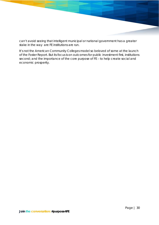can't avoid seeing that intelligent municipal or national government has a greater stake in the way are FE institutions are run.

It's not the American Community Colleges model so beloved of some at the launch of the Foster Report. But its focus is on outcomes for public investment first, institutions second; and the importance of the core purpose of FE – to help create social and economic prosperity.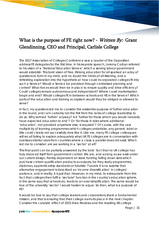#### <span id="page-31-0"></span>What is the purpose of FE right now? - Written By: Grant Glendinning, CEO and Principal, Carlisle College

The 2017 Association of Colleges Conference saw a Leader of the Opposition address FE delegates for the first time. In his keynote speech, Jeremy Corbyn referred to his vision of a 'National Education Service' which a serving labour government would establish. This bold vision of free, lifelong education for all sparked an array of questions to form in my mind, and no doubt the minds of all listening, and a refreshing exploration into the hypothetical: how could incorporated colleges fit into such a Service? Would a Service be provided through centralised planning and control? What forces would then be in place to ensure quality and drive efficiency? Could colleges remain autonomous and independent? Where could marketisation begin and end? Would colleges fit in between schools and HE in the Service? Which parts of the education and training ecosystem would they be obliged or allowed to serve?

In fact, my questions led me to consider the existential purpose of further education in the round, and I am certainly not the first from the ranks of college leadership to do so. Why termed 'further' anyway? Is it 'further for those whom you would naturally have expected education to end'? Or 'for those in roles where additional 'education', not provided anywhere else, is required'? Of course, with the vast multiplicity of learning programmes which colleges undertake, any generic label or title could clearly not successfully describe it. Like me, many FE college colleagues will recall failing to explain adequately what UK FE colleges are in conversation with overseas interlocutors from countries where a close a parallel does not exist. Which led me to consider: are we working in a 'sector' at all?

This final point can be partially answered by the bold fact that no UK college has truly divorced itself from government control. We are, and as long as we exist under our current design, frankly dependent on state funding falling down slots which purchase certain qualification products as outputs, be they study programmes, diplomas, apprenticeship standards or futuristic T Levels. It is no surprise that alternative engagement is described as 'income diversification' in colleges' parlance, and in reality, it is just that. However, in my mind, to extrapolate from this fact that colleges then fulfil a 'sectoral' function in the country's education sphere, in the same way that schools do, leads to an over-simplification. The same would be true of the university 'sector' I would hasten to argue. So then, what is a purpose of FE?

It would be true to say that college leaders and corporations share a fundamental mission, and that is ensuring that their college earns its place in the next chapter. Consider the catalytic effect of 2015 Area Reviews and the resulting 48 college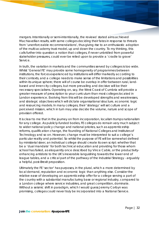mergers. Intentionally or semi-intentionally, the reviews' stated aims achieved Machiavellian results, with some colleges deciding their fates in response to threats from 'unenforceable recommendations', thus giving rise to an enthusiastic adoption of the multi-academy trust model, up and down the country. To my thinking, this calls further into question a notion that colleges, if never unbridled from powerful stakeholder pressures, could ever be relied upon to provide a 'cradle to grave' Service.

In truth, the variation in markets and the communities served by colleges is too wide. Whilst 'General FE' may provide some homogeneity of programmes between institutions, the forces experienced by institutions will differ markedly according to their contexts, and a college needs to make sense of the limitations and possibilities within its unique sphere; there will of course be overlap in offer between rural, landbased and inner-city colleges, but more prevailing and decisive will be their necessary specialisms. Operating on, say, the West Coast of Cumbria will provide a greater measure of prescription to your curriculum than most colleges located in London experience. Evolving from this will be developed strengths and weaknesses, and strategic objectives which will dictate organisational structure, economic logic and resourcing models. In many colleges, their 'strategy' will set culture and a perceived mission, which in turn may also decide the volume, nature and scope of provision offered.

It is clear to me that in the journey on from incorporation, localism trumps nationalism for any college. As publicly-funded bodies, FE colleges do remain very much subject to wider national policy change and national priories, such as apprenticeship reforms, qualification change, the founding of National Colleges and Institutes of Technology and so on. However, change must be interpreted to suit a college's particular reality and potential. So whilst the purpose of FE will be somewhat defined by ministerial steer, an individual college should create its own script: whether that be a 'dual mandate' for both technical education and providing for those whom school has failed, as eloquently once described by Vince Cable, or the productivityenhancing antidote to the UK's inexorable languishing towards the lower end of league tables, and a critical part of the pathway of the Industrial Strategy - arguably a helpful, post-Brexit proposition.

Ultimately the FE 'sector' has purposes, in the plural, which a more determined by local demand, reputation and economic logic than anything else. Consider the relative ease of developing an apprenticeship offer for a college serving a part of the country with a substantial manufacturing base or regional industry, compared to a London college where service industries, and great competition, dominate. Without a seismic shift in paradigm, which I would guess Jeremy Corbyn was promising, colleges could never truly be incorporated into a National Service.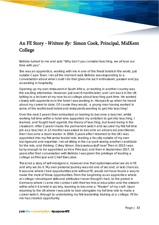#### <span id="page-33-0"></span>An FE Story - Written By: Simon Cook, Principal, MidKent College

Belinda turned to me and said "Why don't you consider teaching, we all love our time with you".

She was an apprentice, working with me in one of the finest hotels in the world, just outside Cape Town. I recall the moment well, Belinda was responding to a conversation about what could I do that gives me such enthusiasm, passion and joy as working in hospitality.

Opening up my own restaurant in South Africa, or working in another country was the exciting alternative. However, just over 6 months later, and I am back in the UK talking to a lecturer at my now local college about teaching part time. He worked closely with apprentices in the hotel I was working in. His eyes lit up when he heard about my career to date. Of course they would, a young man having worked in some of the worlds best hotels and restaurants wanting to get into teaching!

Over the next 2 years I then embarked on training to become a teacher, whilst working full time within a hotel who supported my ambition to get into teaching. I learned, and fought hard against, the theory of teaching, but loved being in the classroom. After 2 years I made the permanent switch and secured my first full time job as a teacher, in 12 months I was asked to become an advanced practitioner, then I became a team leader. In 2004, 5 years after I returned to the UK I was appointed into my first senior leader role, leading a faculty outside of my own background and expertise. I recall sitting in the car park seeing another candidate for the role, and thinking. Crikey Simon, this is serious stuff now! Then in 2013 I was lucky enough to be appointed as Vice Principal, and then in September 2017, 19 years after that conversation with Belinda I was given the privilege of leading a college as Principal and Chief Executive.

This is not a story of self-indulgence, however one that epitomises what we do in FE and why we do it. My own personal journey was not one of second, or last chances. It was one where I had opportunities and without FE, would not have found a way to make the most of those opportunities. From the beginning as an apprentice where at college I developed skills and attributes I never thought I had, to the period in Germany where I came into contact with their technical education and the esteem within which it is held in society, learning to become a "Master" of my craft. Upon returning to the UK where I was able to train alongside my full time role to make a career switch, through to undertaking my first leadership training at a college. FE for me has created opportunity.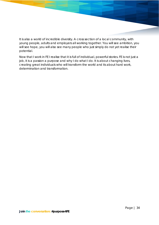It is also a world of incredible diversity. A cross section of a local community, with young people, adults and employers all working together. You will see ambition, you will see hope, you will also see many people who just simply do not yet realise their potential.

Now that I work in FE I realise that it is full of individual, powerful stories. FE is not just a job, it is a passion a purpose and why I do what I do. It is about changing lives, creating great individuals who will transform the world and its about hard work, determination and transformation.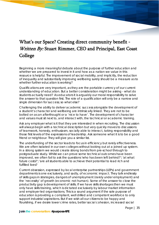## <span id="page-35-0"></span>What's our Space? Creating direct community benefit - Written By: Stuart Rimmer, CEO and Principal, East Coast College

Beginning a more meaningful debate about the purpose of further education and whether we are prepared to invest in it and *how as* a nation we value in this resource is helpful. The improvement of social mobility, and implicitly, the reduction of inequality and substantially improving wellbeing surely should be a measure as to whether further education is working?

Qualifications are very important, as they are the portable currency of our current understanding of education. But a better consideration might be asking - what do students actually need? As educators it is arguably our moral responsibility to solve the answer to that question first. The role of a qualification will only be a narrow and single dimension for success; so what else?

Challenging the ability to deliver academic success alongside the development of a student's character and wellbeing are intrinsically linked. They are not to be bolted on as an afterthought or a 'nice to have'. The development of character and values must sit next to, and interact with, the technical or academic training.

Ask any employer what is it that they are interested in when recruiting. The discussion will always begin with a technical description but very quickly moves to discussions of teamwork, honesty, enthusiasm, socially able to interact, taking responsibility and those first levels of the expressions of leadership. Ask someone what it is to be a good friend or neighbour. They will give you a similar list.

The underfunding of the sector leads to focus in efficiency but rarely effectiveness. We are often isolated in our own colleges without looking out at a joined up system. In a strong system we would create strong bonds from pre-school through to postgraduate study. Whilst we can prove some technical outcomes have been improved, we often fail to ask the questions 'who has been left behind?'; 'at what future costs?'; 'are *all* students able to achieve their potential to lead rich and fulfilled lives?

Current obsession, expressed by local enterprise partnerships (LEPs) and government departments is one exclusively, and sadly, of economic impact. They talk endlessly of skills gaps in strategies, dangers of unemployment (rarely under employment) and the 'necessity' of growth (economic not human). Some of the answer to close the productivity gap is development of skills. If we have skills shortages then we must only have skills training, which is dictated exclusively by labour market information and employer led organisations. This is a sound argument *if* the sole purpose of education is providing a compliant, well drilled and competent workforce to only support industrial aspirations. But if we wish all our citizens to be happy and flourishing, if we desire lower crime rates, better social cohesion, increased social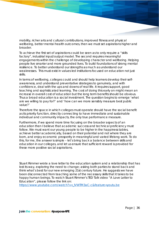mobility, richer arts and cultural contributions, improved fitness and physical wellbeing, better mental health outcomes, then we *must* set aspirations higher and broader.

To achieve the first set of aspirations could be seen as to only require a "skills factory", industrial input/output model. The second requires meaningful engagements within the challenge of developing character and wellbeing. Helping people live smarter and more grounded lives. To build foundations of strong mental resilience. To better understand our strengths as much as understand our weaknesses. This must exist in values led institutions focused on education not just skills.

In terms of wellbeing, colleges could and should help learners develop their selfawareness, and understand preventative strategies to genuinely, and with confidence, deal with the ups and downs of real life. It requires support, good teaching and sophisticated learning. The cost of doing this early on might mean an increase in overall cost of education but the long term benefits should be obvious. Thus a broad education is a social investment. The question begins to emerge 'what are we willing to pay for?' and 'how can we more sensibly measure best public value?'

Therefore the space in which colleges must operate should have the social benefit as its priority function, directly connecting to have immediate and sustainable individual and community impacts, the only true performance measure.

Furthermore, if we spend more time focusing on the broader aspects of an education then I believe that academic success and technical proficiency must follow. We must want our young people to be higher in the happiness tables, achieve better academically, based on their potential and not where they are born, and enjoy economic prosperity in meaningful and varied lifelong work. To do this, for me, the answer is simple – let's bring back a balance between skills and education in our colleges, and let us ensure that sufficient reward is provided for these more positive social aspirations.

*Stuart Rimmer wrote a love letter to the education system and a relationship that has*  lost its way, exploring the need to change; asking both parties to stand back and *think what's best for our new emerging 21st century future. He suggests we have been disconnected from teaching some of the necessary skills that it takes to be happy human beings. To watch Stuart Rimmer's TED Talk video "A Love Letter to Education", please follow the link on*:

https://www.youtube.com/watch?v=\_lVWTM3aC-c&feature=youtu.be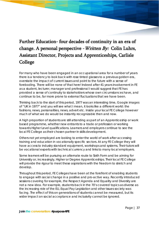## <span id="page-37-0"></span>Further Education- four decades of continuity in an era of change. A personal perspective - Written By: Colin Luhrs, Assistant Director, Projects and Apprenticeships, Carlisle College

For many who have been engaged in an occupational area for a number of years there is a tendency to look back with rose tinted glasses to a previous golden era, overstate the impact of current issues and point to the future with a sense of foreboding. There will be none of that here! Indeed after 41 years involvement in FE as a student, lecturer, manager and professional I would suggest that FE has provided a sense of continuity to stakeholders whose own circumstances have, and continue to be, far more prone to external fluctuations that we have been.

Thinking back to the start of this period, 1977 was an interesting time, Google images of "UK in 1977" and you will see what I mean, it looks like a different world: the fashions, news, personalities, news, advert etc. Inside your local FE College however much of what we do would be instantly recognizable then and now.

A high proportion of students are still attending as part of an Apprenticeship or work based programme, whether new entrants to a trade or profession or working towards Higher Level qualifications. Learners and employers continue to see the local FE College as their chosen partner in skills development.

Others not yet employed are looking to enter the world of work after accessing training and education in vocationally specific sectors. At any FE College they will have access to industry standard equipment, workshops and systems. Their tutors will be vocational experts with technical currency and links to many local employers.

Some learners will be pursuing an alternate route to Sixth Form and be aiming for University or, increasingly, Higher or Degree Apprenticeships. Their local FE College will provide the rigour to meet these aspirations with the freedom to stretch and develop.

Throughout this period, FE Colleges have been at the forefront of enabling students to engage with social change in a positive and pro-active way. Recently introduced sessions covering for example, the Respect Agenda and Equality and Diversity are not a new idea. For example, students back in the 70's covered topics as diverse as the increasing role of the EU, Equal Pay Legislation and other issues society was facing. The effect of this on generations of students cannot be measured, but its wider impact on social acceptance and inclusivity cannot be ignored.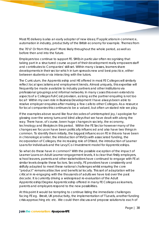Most FE delivery is also an early adopter of new ideas; IT applications in commerce, automation in industry, productivity of the British economy for example. Themes from

the 70's? Or from this year? More likely throughout the whole period, as well as before then and into the future.

Employers too continue to support FE. SMEs in particular often recognising that taking part in a structured course as part of their development really empowers staff and contributes to Companies' skill-set. Within many classes, learners share developments in their sector which in turn spreads new and best practice, either between students or via interacting with the tutors.

The Curriculum, the Apprenticeship and HE offered in most FE Colleges will similarly reflect local specialisms and employment trends. Almost uniquely, this expertise will frequently be made available to industry partners and other institutions via professional groupings and informal networks. In many cases this even extends to aspects of a Colleges Full-Cost provision, as long as the partner enquiring is not too local! Within my own role in Business Development I have always been able to resolve employer enquiries after making a few calls to other Colleges. As a resource for local companies this continues to be a valued, but often un-stated role we play.

If the examples above sound like four decades of uninterrupted joy, I apologize for glossing over the wrong turns and blind alleys that we have dealt with along the way. There have, of course, been huge changes in society, the economy, technology and lifestyles in this period. Within the FE Sector however many of the changes we focus on have been politically influenced and also have two things in common. To identify them initially, the biggest influences on FE in this era have been in chronological order, the introduction of NVQs with associated funding, the incorporation of Colleges, the increasing role of Ofsted, the introduction of Learner Loans for individuals and the Levy/Co-I Investment model for Apprenticeships.

So what do these have in common? With the possible exception of the impact of Learner Loans on Adult Learner engagement levels, it is clear that firstly employers, school leavers, parents and other stakeholders have continued to engage with FE at similar levels despite these factors. Secondly, FE providers have consistently and skilfully adapted to meet these national challenges whilst ensuring the core "product" remains attractive and beneficial locally. This sort of adaptation will be critical in re-engaging with the thousands of adults we have lost over the past decade. It is currently driving a widespread re-evaluation of the Adult Apprenticeship/Degree Apprenticeship offered in many FE Colleges as learners, parents and employers respond to the new possibilities.

At this point it would be tempting to continue listing the immediate challenges facing FE eg. Brexit, UK productivity, the implementation of T Levels, another funding crisis approaching etc etc. We could then discuss and propose solutions to each of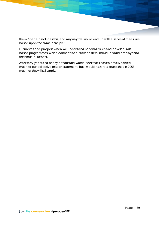them. Space precludes this, and anyway we would end up with a series of measures based upon the same principle:

FE survives and prospers when we understand national issues and develop skills based programmes, which connect local stakeholders, individuals and employers to their mutual benefit.

After forty years and nearly a thousand words I feel that I haven't really added much to our collective mission statement, but I would hazard a guess that in 2058 much of this will still apply.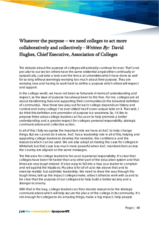## <span id="page-40-0"></span>Whatever the purpose – we need colleges to act more collaboratively and collectively - Written By: David Hughes, Chief Executive, Association of Colleges

The debate about the purpose of colleges will probably continue for ever. That's not peculiar to our sector; others have the same existential angst either continually or episodically. Just take a look over the fence at universities which have done so well for so long without seemingly worrying too much about their purpose. They are worrying now and having to work hard to define a purpose which others will respect and support.

In the college world, we have not been so fortunate in terms of understanding and respect, so the issue of purpose has always been to the fore. For me, colleges are all about transforming lives and supporting their communities (in the broadest definition of community). How those two play out for each college depends on history and context and every college I've ever visited has it's own unique take on it. That said, I do think this definition and promotion of purpose is a weakness. So, I'd like to propose three areas college leaders can focus on to help promote a better understanding and a greater respect for colleges: personal responsibility, strategic communications and collective action.

In all of this, I fully recognise the important role we have at AoC to help change things. But we cannot do it alone. AoC has a leadership role in all of this, helping and supporting college leaders to develop the narrative, the confidence and the resources which can be used. We are also adept at making the case for colleges in Whitehall; but that case is so much more powerful when AoC members from across the country are aligned on the same messages.

The first area for college leaders to focus on is personal responsibility. It's clear that colleges have been hit harder than any other part of the education system and that times are very tough indeed. It's too easy to fall into a trap as a leader to complain and rail against the injustices. My plea is for all of us to rise above that and to exercise realistic but optimistic leadership. We need to show the way through the tough times, talk up the impact colleges make, attract others to work with us and to be clear that the purpose of our colleges is to help build a better society and a stronger economy.

With that in the bag, college leaders can then devote resources to the strategic communications which will help secure the place of the college in its community. It's not enough for colleges to do amazing things, make a big impact, help people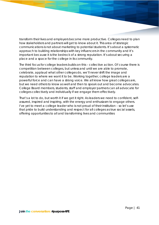transform their lives and employers become more productive. Colleges need to plan how stakeholders and partners will get to know about it. This area of strategic communications is not about marketing to potential students. It's about a systematic approach to building relationships with key influencers in the community and it's important because it is the bedrock of a strong reputation. It's about securing a place and a space for the college in its community.

The third focus for college leaders builds on this – collective action. Of course there is competition between colleges, but unless and until we are able to promote, celebrate, applaud what other colleges do, we'll never shift the image and reputation to where we want it to be. Working together, college leaders are a powerful force and can have a strong voice. We all know how great colleges are, but we need others to know as well and then to speak out and become advocates. College Board members, students, staff and employer partners can all advocate for colleges collectively and individually if we engage them effectively.

That's a lot to do, but worth it if we get it right. As leaders we need to confident, selfassured, inspired and inspiring, with the energy and enthusiasm to engage others. I've yet to meet a college leader who is not proud of their institution – so let's use that pride to build understanding and respect for all colleges as true social assets, offering opportunities to all and transforming lives and communities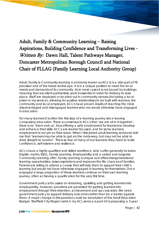## <span id="page-42-0"></span>Adult, Family & Community Learning – Raising Aspirations, Building Confidence and Transforming Lives - Written By: Dawn Hall, Talent Pathways Manager, Doncaster Metropolitan Borough Council and National Chair of FLLAG (Family Learning Local Authority Group)

Adult, Family & Community learning (commonly known as ACL's) is a vital part of FE provision and of the future landscape. It is in a unique position to meet the local needs and demands of its community. As in most cases it is not bound by buildings meaning that excellent partnership work is essential in order for delivery to take place. Staff are deployed or located out in community venues (including a local prison in my service), allowing for positive relationships to be built with learners, the community and local employers. ACL's have proven results of reaching the most disadvantaged and disengaged learners who not would otherwise have engaged in education.

For many learners it is often the first step of a learning journey since leaving compulsory education. There is consensus in ACL's that 'we are all in it together', there is no 'them and us', thus offering a safe environment for learners to develop and enhance their skills. ACL's are learner focused, and for some learners, employment is not yet on their radar. When I first joined adult learning someone told me that 'learners may be able to get on the motorway, but may not be able to drive straight to London'. This is so true of many of our learners; they need to build confidence, self-esteem and resilience.

ACL's have a highly qualified and skilled workforce, who's offer generally includes English, maths, ESOL, Family Learning, Employability and a varied and bespoke Community Learning offer. Family Learning is unique as it offers intergenerational learning opportunities, raises aspirations and improves the life chances of families. Parents are willing to attend a course that will help them to support their child's learning but would not have otherwise engaged in learning for themselves. Once engaged a large proportion of these learners continue on their own learning journey, often achieving a qualification for the very first time.

Government policy is focussed on retraining, upskilling and getting learners into employability, however, providers are penalised for getting learners into employment through their retention, achievement and success rates. We need government policy to support delivery outcomes rather than be a barrier against them. A major change in this paradox could be devolution of the Adult Education Budget. Sheffield City Region (which my ACL service is part of) is proposing a 3 year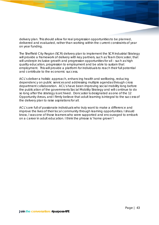delivery plan. This should allow for real progression opportunities to be planned, delivered and evaluated, rather than working within the current constraints of year on year funding.

The Sheffield City Region (SCR) delivery plan to implement the SCR Industrial Strategy will provide a framework of delivery with key partners, such as Team Doncaster, that will underpin inclusive growth and progression opportunities for all – such as high quality education, progression to employment and be able to sustain that employment. This will provide a platform for individuals to reach their full potential and contribute to the economic success.

ACL's deliver a holistic approach, enhancing health and wellbeing, reducing dependency on public services and addressing multiple agendas through cross department collaboration. ACL's have been improving social mobility long before the publication of the governments Social Mobility Strategy and will continue to do so long after the strategy is archived. Doncaster is designated as one of the 12 Opportunity Areas, and I firmly believe that adult learning is integral to the success of the delivery plan to raise aspirations for all.

ACL's are full of passionate individuals who truly want to make a difference and improve the lives of their local community through learning opportunities. I should know, I was one of those learners who were supported and encouraged to embark on a career in adult education. I think the phrase is 'home grown'!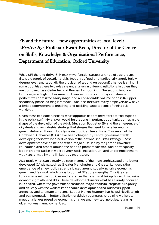## <span id="page-44-0"></span>FE and the future – new opportunities at local level? - Written By: Professor Ewart Keep, Director of the Centre on Skills, Knowledge & Organisational Performance, Department of Education, Oxford University

What is FE there to deliver? Primarily two functions across a range of age groups firstly, the supply of vocational skills, broadly defined and traditionally largely below degree level; and secondly the provision of second (or beyond) chance learning. In some countries these two roles are undertaken in different institutions, in others they are combined (see Gallacher and Reeves, forthcoming). The second function looms large in England because our lower secondary school system does not perform well across the ability range and a considerable volume of post-16, upper secondary phase learning is remedial, and also because many employers now have a limited commitment to retraining and upskilling large sections of their adult workforce.

Given these two core functions, what opportunities are there for FE to find its place in the policy sun? My answer would be that one important opportunity comes in the shape of the devolution of the Adult Education Budget (AEB) and the emergence of city deals and an industrial strategy that stresses the need for local economic growth delivered through locally-devised policy interventions. Thus seven of the Combined Authorities (CAs) have been charged by central government with developing their own localised version of the national industrial strategy. These developments have coincided with a major push, led by the Joseph Rowntree Foundation and others, around the need to promote fair work and better quality jobs in order to tackle in-work poverty, social exclusion, un- and under-employment, weak social mobility and limited pay progression.

As a result, what can already be seen in some of the more sophisticated and better developed CA plans, such as Greater Manchester and Greater London, is the emergence of a new policy agenda based around socially inclusive economic growth and fair work which plays to both of FE's core strengths. Thus Greater London is developing policies and strategies that span and link up fair work, inclusive economic growth, and skills. These developments mirror what has already occurred in Scotland, where the government has made major efforts to integrate skills policy and delivery with the work of its economic development and business support agencies, and to create a national Labour Market Strategy that helps link skills to job and pay progression, better utilisation of skills by businesses, re-training workers to meet challenges posed by economic change and new technologies, retaining older workers in employment, etc.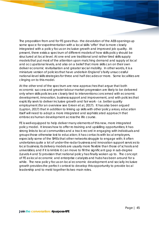The proposition from and for FE goes thus - the devolution of the AEB openings up some space for experimentation with a local skills 'offer' that is more closely integrated with a policy focus on inclusive growth and improved job quality. At present, there exists a spectrum of different models of how skills policy should be structured at local level. At one end are traditional and rather tired skills supply models that put most of the attention upon matching demand and supply at local and occupational levels, and also on a belief that more skills can on their own deliver economic revitalisation and greater social mobility. In other words, it is a miniature version of policies that have underlain England's fairly unsuccessful national-level skills strategies for three and half decades or more. Some localities are clinging on to this model.

At the other end of the spectrum are new approaches that argue that both economic success and greater labour market progression are likely to be delivered only when skills policies are closely tied to interventions concerned with economic development, innovation, business support and improvement, and with policies that explicitly seek to deliver inclusive growth and fair work - i.e. better quality employment (for an overview see Green et al, 2017). It has also been argued (Lupton, 2017) that in addition to linking up skills with other policy areas, education itself will need to adopt a more integrated and sophisticated approach that embraces human development across the life course.

FE is well-equipped to help deliver many elements of this new, more integrated policy model. It knows how to offer re-training and upskilling opportunities; it has strong links to local communities and a track record in engaging with individuals and groups those otherwise lost to education; it has contacts with local employers, especially some of the SMEs that other networks struggle to engage with; it often undertakes quite a lot of under-the-radar business and innovation support services to local business; its delivery models are usually more flexible than those of schools and universities; and if it is nimble it can move to fill the significant gap in sub-degree (Levels 4 and 5) provision that national policy has finally woken up to. The concept of FE as local economic and enterprise catalysts and hubs has been around for a while. The new policy focus on local economic development and socially inclusive growth provides the perfect context to develop this opportunity to provide local leadership and to meld together its two main roles.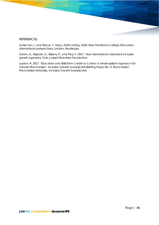#### REFERENCES:

Gallacher, J. and Reeve, F. (eds.), forthcoming, 2018. *New Frontiers in College Education: International perspectives*, London: Routledge.

Green, A., Kispeter, E., Sissons, P., and Froy, F. 2017. *How international cities lead inclusive growth agendas*, York: Joseph Rowntree Foundation.

Lupton, R. 2017. 'Education and Skills from Cradle to Career: A whole-system approach for Greater Manchester', *Inclusive Growth Analysis Unit Briefing Paper* No. 5, Manchester: Manchester University, Inclusive Growth Analysis Unit.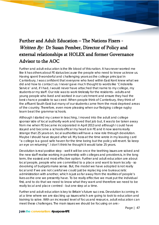## <span id="page-47-0"></span>Further and Adult Education – The Nations Fixers - Written By: Dr Susan Pember, Director of Policy and external relationships at HOLEX and former Governance Advisor to the AOC

Further and adult education is the life blood of this nation. It has never worried me like it has others about FE status because the people who need to know us know us. Having spent 9 wonderful and challenging years as the college principal in Canterbury, I was confident that everyone who lived within East Kent knew what we did and how to contact us. I never gave much thought to words like 'Cinderella Service' and, if I had, I would never have attached that name to my college, my students or my staff. Our role was to work tirelessly for the residents - adults and young people who lived and worked in our catchment and ensure they had the best chance possible to succeed. When people think of Canterbury, they think of the affluent South East but many of our students came from the most deprived areas of the country. Therefore, even more pleasing when our fledging college rugby team beat the grammar schools.

Although I started my career in teaching, I moved into the adult and college sponsor side of local authority work and loved that job but, it was to be taken away from me when FE became incorporated in April 2013 and although I could have stayed and become a schools officer my heart is in FE and it now seems really strange that 25 years on, local authorities will have a new role through devolution. Maybe I should have stayed after all. My boss at the time wrote in my leaving card "a college is a good safe haven for the time being but the policy will revert. So keep an eye on returning". I don't think he thought it would take 25 years.

Devolution is real positive step - well it will be once the teething issues are solved and the new staff realise working in partnership with colleges and providers is, in the long term, the easiest and most effective option. Further and adult education are about local people, people who are committed to a place and want to learn locally - so devolving of budgets make sense. But, the model we have adopted is not really local and if we are not careful we could just be replacing one bureaucratic administration with another, which is just as far away from the realities of people's lives as the one we presently have. To be really effective we must put the individual first, and to do that we need to know what they want and therefore we need to be really local and place centred - but one step at a time.

Further and adult education is key to Britain's future success. Devolution is coming in at a time where we are stacking up issues which are going to look to education and training to solve. With an increased level of focus and resource, adult education can meet these challenges. The main issues we should be focusing on are:-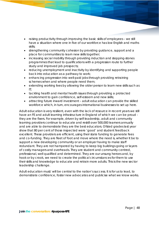- raising productivity through improving the basic skills of employees we still have a situation where one in five of our workforce has low English and maths skills;
- strengthening community cohesion by providing guidance, support and a place for communities to learn new skills together;
- increasing social mobility through providing induction and stepping-stones programmes that lead to qualifications with a progression route to further study and improved job prospects;
- reducing unemployment and inactivity by identifying and supporting people back into education as a pathway to work;
- enhancing progression into well-paid jobs through providing retraining schemes when and where people need them;
- extending working lives by allowing the older person to learn new skills such as  $IT:$
- tackling health and mental health issues through providing a protected environment to gain confidence, self-esteem and new skills;
- attracting future inward investment adult education can provide the skilled workforce which, in turn, encourages international businesses to set up here.

Adult education is very resilient, even with the lack of resource in recent years we still have an FE and adult learning infrastructure in England of which we can be proud they are the fixers. For example, driven by self-leadership, adult and community learning providers continue to educate and reskill over 500,000 learners annually and are able to demonstrate they are the best educators. Ofsted grades last year show that 80 per cent of those inspected were 'good' and student feedback excellent. These providers are efficient, using their state funding to generate fees and co-funding. They are fleet of foot and move where the need is, whether it be to support a new developing community or an employer having to make staff redundant. They are not hampered by having to keep big buildings going or layers of costly managers and overheads. They are student and community centred, professional, well qualified and determined. They are our unsung heroes and, by hook or by crook, we need to create the political circumstances for them to use their skills and knowledge to educate and retrain more adults. This is the new sector leadership challenge.

Adult education must/ will be central to the nation's success. It is for us to lead, to demonstrate confidence, foster new advocates and publicise what we know works.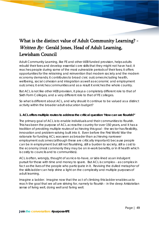#### <span id="page-49-0"></span>What is the distinct value of Adult Community Learning? - Written By: Gerald Jones, Head of Adult Learning, Lewisham Council

Adult Community Learning, like FE and other AEB funded provision, helps adults rebuild their lives and develop essential core skills that they might not have had; it reaches people during some of the most vulnerable periods of their lives; it offers opportunities for the retraining and reinvention that modern society and the modern economy demands; it contributes to broad civic outcomes including health, wellbeing, social cohesion and integration as well as economic and employment outcomes; it enriches communities and as a result it enriches the whole country.

But ACL is not like other AEB provision, it plays a completely different role to that of Sixth Form Colleges, and a very different role to that of FE colleges.

So what is different about ACL, and why should it continue to be valued as a distinct activity within the broader adult education budget?

#### **1. ACL offers multiple routes to address the critical question 'How can we flourish?'**

The primary goal of ACL is to enable individuals and their communities to flourish. This has been the purpose of ACL across the country for over 150 years, and it has a tradition of providing multiple routes of achieving this goal - the sector has flexibility, innovation and problem-solving built into it. Even before the First World War the rationale for funding ACL was seen as broader than achieving narrower employment outcomes (although these are critically important) because people can be in employment but still not flourishing, still a burden to society, still a cost to the economy (most commonly they may be on in-work benefits, or in ill health which is costly to councils and to communities).

ACL is often, wrongly, thought of as nice-to-have, or side-lined as an indulgent pursuit for those with time and money to spare. But ACL is complex – as complex in fact as the lives of the people who participate in it. Reviving the dulled metaphor of the skills ladder can help shine a light on the complexity and multiple purposes of adult learning.

Imagine a ladder. Imagine now that the act of climbing this ladder enables us to reach the goal that we all are striving for, namely to flourish – in the deep Aristotelian sense of living well, doing well and faring well.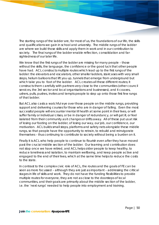The starting rungs of the ladder are, for most of us, the foundations of our life, the skills and qualifications we gain in school and university. The middle rungs of the ladder are where we build those skills and apply them in work and in our contribution to society. The final rungs of the ladder enable reflection, consolidation and farsightedness of our later life.

We know that the first rungs of the ladder are missing for many people – those without the skills, the language, the confidence or the good luck that other people have had. ACL constructs multiple routes which lead up to the first rungs of the ladder: the elevators and escalators, other smaller ladders, staircases with very small steps, helium balloons that lift you up, tunnels that emerge from underground but which take you to foot of the ladder. ACL creates all these different routes; it constructs them carefully with partners very close to the communities (other council services, the 3rd sector and local organisations and businesses), and it coaxes, ushers, pulls, pushes, invites and tempts people to step up onto those first few rungs of that ladder.

But ACL also casts a watchful eye over those people on the middle rungs, providing support and delivering courses for those who are in danger of falling. Even the most successful people will encounter mental ill health at some point in their lives, or will suffer family or individual crises, or be in danger of redundancy, or will get ill, or feel isolated from their community as it changes or drifts away. All of these put us at risk of losing our footing on the ladder, of losing our way, our job, our confidence, our motivation. ACL builds small steps, platforms and safety nets alongside these middle rungs, so that people have the opportunity to retrain, to rebuild and reinvigorate themselves – thus continuing to contribute to society without being a burden on it.

Finally it is ACL who help people to continue to flourish even after they have moved past the crucial middle section of the ladder. Our learning and contribution does not stop once we have retired, and ACL helps older people to keep healthy, to reduce loneliness and isolation, to maintain wellbeing, and keep people active and engaged to the end of their lives, which at the same time helps to reduce the costs to the state.

In contrast to the complex civic role of ACL, the routes and the goals of FE can be seen as more focussed – although they are just as important – addressing the critical stages in life of skills and work. They do not have the funding flexibilities to provide multiple routes for everyone, they are not as close to the doorsteps of local communities, and their goals are primarily about the middle section of the ladder, i.e. the 'next rungs' needed to help people into employment and training.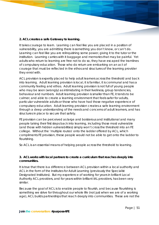#### **2. ACL creates a safe Gateway to learning.**

It takes courage to learn. Learning can feel like you are placed in a position of vulnerability, you are admitting there is something you don't know, or can't do. Learning can feel like you are relinquishing some power, giving it to the tutor or the institution. Learning carries with it baggage and memories that may be painful. Yet adults who return to learning are free not to do so, they have escaped the tramlines of compulsory education. Those who do return are embarking on an act of courage that must be reflected in the ethos and structures of the learning provider they enrol with.

ACL provision is expertly placed to help adult learners across the threshold and back into learning. Adult learning provision is local, it is familiar, it is communal and has a community feeling and ethos. Adult learning provision is not full of young people who may be seen (wrongly) as intimidating in their liveliness, group tendencies, behaviour and numbers. Adult learning provision is smaller than FE, it tends to be calmer, and able to create a learning environment that feels safer for adults, particular vulnerable adults or those who have had those negative experience of compulsory education. Adult learning provision creates a safe learning environment through a deep understanding of the needs and concerns of adult learners, and has structures in place to secure that safety.

FE provision can be perceived as large and boisterous and institutional and many people taking their first steps back into learning, including those most vulnerable (and those with hidden vulnerabilities) simply won't cross the threshold into an FE college. Without the 'multiple routes' onto the ladder offered by ACL, which compliments FE provision, these people would not be able to get onto the ladder to flourishing.

So ACL is an essential means of helping people across the threshold to learning.

#### **3. ACL works with local partners to create a curriculum that reaches deeply into communities.**

It is true that there is a difference between ACL provision within a local authority and ACL in the form of the Institutes for Adult Learning (previously the Specialist Designated Institutes). But my experience of working for years in brilliant Local Authority ACL providers, and for years within brilliant IAL providers, has been very similar.

Because the goal of ACL is to enable people to flourish, and because flourishing is something we strive for throughout our whole life (not just when we are of a working age), ACL builds partnerships that reach deeply into communities. These are not the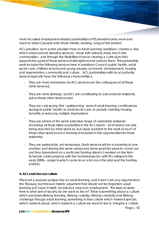more focussed employment-related partnerships of FE providers (who want and need to attract people onto those middle, working, rungs of the ladder).

ACL provision, such as the provision here at Adult Learning Lewisham, creates a vine which wraps around statutory services – those with already deep reach into communities – and through the flexibilities it has in creating a curriculum that supports the goals of those services it strengthens and adds to them. This partnership work includes the following services here in Lewisham Council: public health, adult social care, children schools and young people, economic development, housing and regeneration, community and culture. ACL partnerships with local authority services typically have the following characteristics:

- They are more immediate (as ACL services are the colleagues of all those other services).
- They are more strategic (as ACL are contributing to outcomes for residents, just as those other services are).
- They are cost saving (the 'upstreaming' work of adult learning contributes to savings in public health, to adult social care, to people claiming housing benefits, in reducing multiple deprivation).

They are aimed at the same extensive range of vulnerable residents (including all those listed as priorities in the ACL report – all of whom are also being reached by other services, but *value is added* to the work of each of those other services once learning is included in the opportunities for those residents).

They are sustainable, not temporary, (both services will be in proximity to one another, and sharing the same values and same goals for years to come) nor are they dependent on a particular funding stream (I worked on the Non-Schedule 2 pilot projects, with the homeless sector, with FE colleges in the early 2000s – projects which came to an end once the pilot and the funding ended).

#### **4. ACL enriches our culture**

-

This is not a popular perspective on adult learning, and it won't win any arguments in the Treasury; but this is an historic argument that should not be forgotten: adult learning is of value in-itself, not just as a means to employment. The issue at stake here is: what sort of society do we want to live in? There is something about a culture which promotes lifelong learning, lifelong curiosity, lifelong creativity and lifelong challenge through adult learning; something in that culture which makes it special, which makes it proud, which makes it a culture we want to live in. Imagine a culture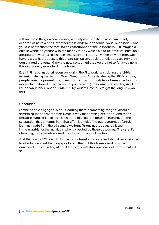without those things, where learning is purely mechanistic or utilitarian, purely directed at narrow ends - whether these ends be economic, social or politicial - and you are not far from the totalitarian catastrophes of the last century. Or imagine a culture where only those with the money to pay were able to be creative, enrol on arts courses, watch and analyse films, study philosophy – where only the elite, who have always had access to this broad curriculum, could benefit because only they could afford the fees. Many are now concerned that we are not so far away from this elitist society as we had once hoped.

Even in times of national recession, during the First World War, during the 1920s recession, during the Second World War, during Austerity, during the 1970s oil crisis, people from the poorest of socio-economic backgrounds have been able to afford access to this broad curriculum – not just the rich. (I'd recommend reading *Adult Education in Inner London 1870-1970* by William Devereux to get the long view on this).

#### **Conclusion**

For the people engaged in adult learning there is something magical about it, something that animates their lives in a way that nothing else does. And that is because learning is difficult – it is hard to bite into the gears of learning, but the satisfaction that emerges from that effort is untold. The true outcomes of adult learning, aside from the skills and civic benefits outlined above, really are immeasurable for the individual who is affected by those outcomes. They are lifechanging, transformative – and they transform our culture too.

And that is why ACL is worth funding – this transformative effect should be available to all adults, not just the deep-pockets of the middle classes – and only the continued public funding of adult learning's kaleidoscopic curriculum can make it so.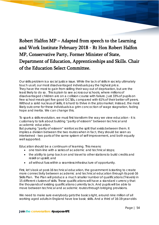## <span id="page-54-0"></span>Robert Halfon MP – Adapted from speech to the Learning and Work Institute February 2018 - Rt Hon Robert Halfon MP, Conservative Party, Former Minister of State, Department of Education, Apprenticeships and Skills. Chair of the Education Select Committee.

Our skills problem is a social justice issue. While the lack of skills in society ultimately touch us all, our most disadvantaged individuals pay the highest price. They have the most to gain from skilling their way out of deprivation, but are the least likely to do so. This is plain to see across our schools, where millions of disadvantaged children are on a collision course with failure. Just 33% of pupils on free school meals get five good GCSEs, compared with 61% of their better off peers. Without a solid nucleus of skills, it is hard to thrive in the jobs market. Instead, the most likely outcome for these individuals is a grim concoction of wage stagnation, fading hope and inertia. We can change this.

To spark a skills revolution, we must first transform the way we view education - it is customary to talk about building "parity of esteem" between technical and academic education.

But pursuing "parity of esteem" reinforces the split that exists between them. It implies a division between the two routes when in fact, they should be seen as intertwined - two parts of the same system of self-improvement, and both equally well supported.

Education should be a continuum of learning. This means:

- one train-line with a series of academic and technical stops;
- the ability to jump back on and travel to other stations to build credits and reskill or upskill; and
- all without fuss within a seamless infrastructure of opportunity.

First, let's look at post-16 technical education, the government is starting to create more connectivity between academic and technical education through its post-16 Skills Plan. The Plan will produce a much smaller number of qualifications (T-levels) in 15 different clusters of skills. These qualifications will have a standard currency that the thousands of existing qualifications currently lack. And pupils will be able to move between technical and academic routes through bridging provisions.

We need to make sure everybody gets the basics right, around nine million of all working aged adults in England have low basic skills. And a third of 16-19-year-olds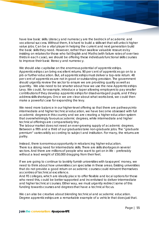have low basic skills. Literacy and numeracy are the bedrock of academic and vocational success. Without them, it is hard to build a skills-set that will unlock higher value jobs. Can be a vital player in helping the current and next generation build the basic skills they need. However, rather than swallow valuable resources by insisting on retakes for those who fail English and Maths (with failure rates of over two thirds in each case), we should be offering these individuals functional skills courses to improve their basic literacy and numeracy.

We should also capitalise on the enormous potential of apprenticeships. Apprenticeships can bring excellent returns. 90 per cent of apprentices go on to a job or further education. But, all apprenticeships must deliver a top-rate return. 48 per cent of apprentices are not in good or outstanding provision. The government should urgently review the sector to ensure we are providing quality as well as quantity. We also need to be smarter about how we use the new Apprenticeships Levy. We could, for example, introduce a taper allowing employers to pay smaller contributions if they develop apprenticeships for disadvantaged pupils, and if they address skills shortages. Once we are clear about what works best, we could then make a powerful case for expanding the levy.

We need more balance in our higher-level offering so that there are pathways into intermediate and higher technical education, we have become obsessed with full academic degrees in this country and we are creating a higher education system that overwhelmingly favours academic degrees, while intermediate and higher technical offerings are comparatively tiny.

The labour market does not need an ever-growing supply of academic degrees. Between a fifth and a third of our graduates take non-graduate jobs. The "graduate premium" varies wildly according to subject and institution. For many, the returns are paltry.

Instead, there is enormous opportunity in rebalancing higher education. There is a strong need for intermediate skills. There are skills shortages in several sectors. And there are millions of people who want to get on in life – preferably without a lead weight of £50,000 dragging from their feet.

If we are going to continue to lavishly furnish universities with taxpayers' money, we need to think about how universities can specialise in these areas. Existing universities that do not provide a good return on academic courses could reinvent themselves as centres of technical excellence.

And FE colleges, which are ideally place to offer flexible and local options for those who need this, could be better supported and incentivised to deliver intermediate and higher technical courses. Either way, we must urgently redirect some of this funding towards courses and degrees that have a technical focus.

We can also be creative about blending technical and academic education. Degree apprenticeships are a remarkable example of a vehicle that does just that.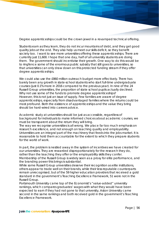Degree apprenticeships could be the crown jewel in a revamped technical offering.

Students earn as they learn, they do not incur mountains of debt, and they get good quality jobs at the end. They also help us meet our skills deficit, so they benefit society too. I want to see more universities offering these apprenticeships. There are currently just 11,600. I hope that one day, half of all university students are doing them. The government should incentivise their growth. One way to do this would be to ringfence some of the enormous public subsidy that still goes to universities, so that universities can only draw down on this protected funding stream if they offer degree apprenticeships.

We could also use the £860 million outreach budget more effectively. There has barely been any growth in state-school students who start full-time undergraduate courses (just 0.1% more in 2016 compared to the previous year). In nine of the 24 Russell Group universities, the proportion of state school pupils actually declined. Why not use some of the funds to promote degree apprenticeships? However, this is not just an issue of supply. Few families are aware of degree apprenticeships, especially from disadvantaged families where the returns could be most profound. Both the existence of apprenticeships and the value they bring should be hard-wired into careers advice.

Academic study at universities should be just as accessible, regardless of background for individuals to make informed choices about academic courses, we must be transparent about the return they will bring. The way we recognise universities is all wrong. We place far too much emphasis on research excellence, and not enough on teaching quality and employability. Universities are an integral part of the machinery that feeds into the jobs market. It is reasonable to hold them accountable for the extent to which they prepare students for the world of work.

In part, the problem is nestled away in the system of incentives we have created for our universities. They are rewarded disproportionately for the research they do, rather than the teaching they offer or the employability skills they confer. Membership of the Russell Group is widely seen as a proxy for elite performance, and the branding power this brings is substantial.

While some Russell Group universities deserve their recognition as elite institutions, others appear to trade well on their brands, while their less reputable counterparts remain unrecognised, but of the 59 higher education providers that received a gold standard in the government's Teaching Excellence Framework, 51 were not in the Russell Group.

Portsmouth University came top of the Economist's "value-added" university rankings, which compares graduates' wages with what they would have been expected to earn if they had not gone to that university, Aston University came second in the same rankings and both received gold in the government's Teaching Excellence Framework.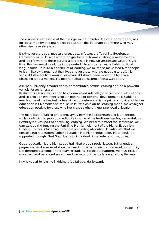These universities deserve all the prestige we can muster. They are powerful engines for social mobility and put rocket-boosters on the life chances of those who may otherwise have stagnated.

It is time for a broader measure of success. In future, the Teaching Excellence Framework will build in new data on graduate outcomes. I strongly welcome this and look forward to these playing a larger role in how universities are valued. Over time, this framework could be incorporated into a broader, more holistic, official league table. To build a continuum of learning, we must also make it easy for people to learn flexibly throughout their lives and for those who are not able to build high value skills the first time around, or whose skills have been wiped out by a fastchanging labour market, it is important that our system offers a way back.

As Open University's model clearly demonstrates, flexible learning can be a powerful vehicle for social justice.

Its students are not required to have completed A-levels (or equivalent qualifications), and so prior achievement is not a hindrance to personal development. It is able to reach some of the hardest niches within our system and is the primary provider of higher education in UK prisons and secure units. Its flexible online learning model makes higher education possible for those who live in areas where there is no local university.

The mere idea of taking one penny away from the flexible/earn and learn sector, while continuing to prop up mediocrity in some of the traditional sector, is scandalous. Flexibility is a vital part of continuing learning. We need to protect the sector and we can start by ring-fencing the Part-time Premium element of the Higher Education Funding Council's Widening Participation funding allocation. It is also vital that we create clear routes from further education into higher education. These could be supported through 'Next Step' loans for individual higher education modules.

Good education is the high-speed train that propels social justice. But it needs a proper line. And a series of stops that lead to thriving, dynamic places of opportunity. Not deserted platforms and decaying stations. For that to happen, we must craft a more fluid and balanced system. And we must build excellence all along the way.

I invite you all to join me in driving this vital agenda forward.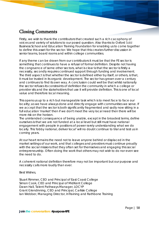#### <span id="page-58-0"></span>Closing Comments

Firstly, we wish to thank the contributors that created such a rich cacophony of voices and variety of solutions to our posed question. Also thanks to Oxford Saϊd Business School and Education Training Foundation for enabling us to come together to define this asset for the sector. We hope that this creates further discussion in senior teams, board rooms and within college communities.

If any theme can be drawn from our contributors it must be that the FE sector is something that continues to have a refusal of formal definition. Despite not having the congruence of some other sectors, what is clear is that the sector is firstly a necessity, secondly requires continued support through funding and involvement. The third aspect is that whether the sector is defined either by itself, or others, is that, it must be trusted in its organic development. The sector has grown over a century and continues to find its own way. A conclusion could well be that whilst nationally the sector refuses its constraints of definition the community in which a college or provider sits and the stakeholders that use it will provide definition. This is one of local value and therefore local meaning.

This opens us up to a rich but manageable task which is to meet face to face our locality; as we have always done and directly engage with communities we serve. If we accept that the sector is both significantly fragmented and sadly now sitting in a full education 'market' then if we don't meet the very local need then there will be more risk on the horizon.

The unintended consequence of being unable, except in the broadest terms, define ourselves is that we are not funded at a local level but still must have national engagement with people in positions of power rarely understanding what we do locally. This 'lobby national, deliver local' will no doubt continue to trial and test us in coming years.

At our heart remains the need not to leave anyone behind or displaced in the market settings of our work, and that colleges and providers must continue proudly with the social missions that they often set for themselves and engaging this social entrepreneurship. Often doing the work that others may not wish to do nor even see the need to do.

A coherent national definition therefore may not be important but our purpose and necessity calls more loudly than ever.

Best Wishes,

Stuart Rimmer, CEO and Principal of East Coast College Simon Cook, CEO and Principal of MidKent College Dawn Hall, Talent Pathways Manager, LOCYP Grant Glendinning, CEO and Principal, Carlisle College Ian Webber, Managing Director, InTraining and Rathbone Training